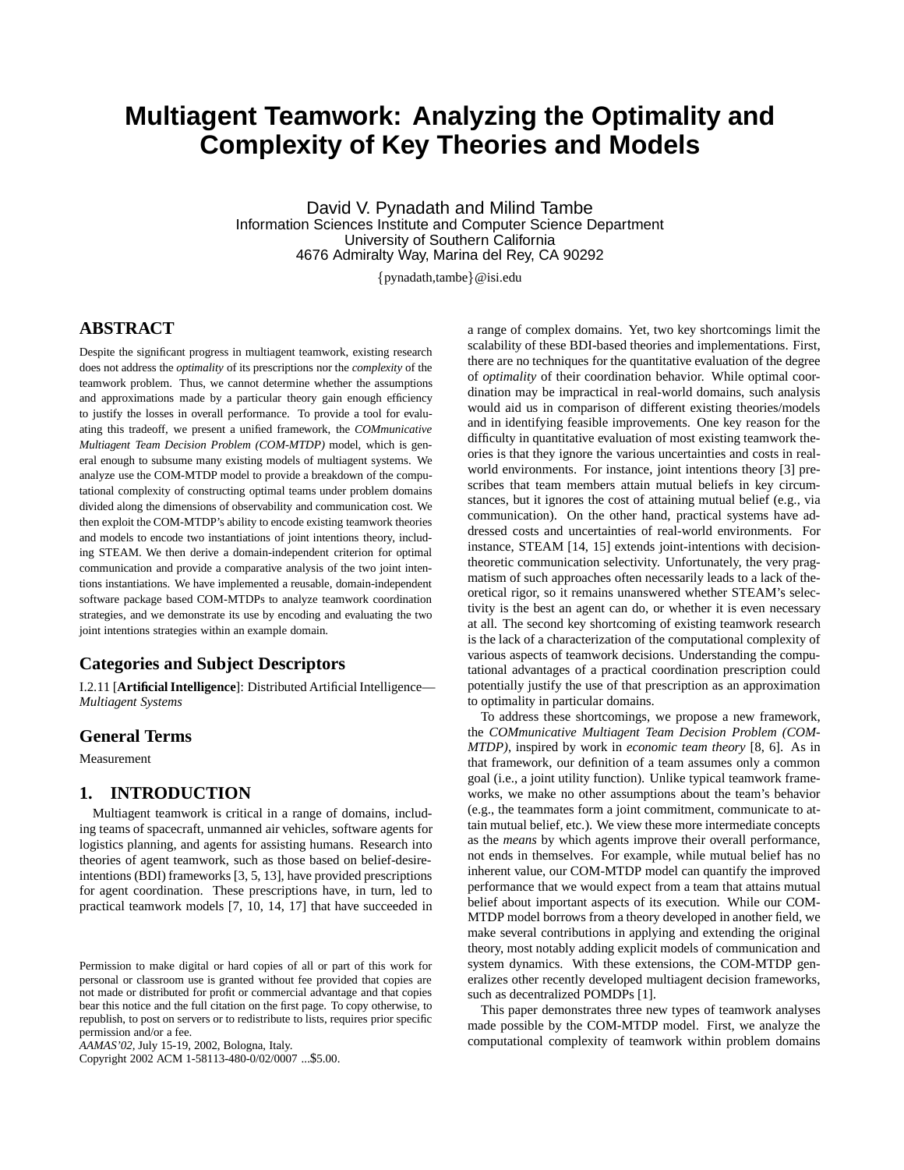# **Multiagent Teamwork: Analyzing the Optimality and Complexity of Key Theories and Models**

David V. Pynadath and Milind Tambe Information Sciences Institute and Computer Science Department University of Southern California 4676 Admiralty Way, Marina del Rey, CA 90292

 $\{pynadath, tambe\}$ @isi.edu

# **ABSTRACT**

Despite the significant progress in multiagent teamwork, existing research does not address the *optimality* of its prescriptions nor the *complexity* of the teamwork problem. Thus, we cannot determine whether the assumptions and approximations made by a particular theory gain enough efficiency to justify the losses in overall performance. To provide a tool for evaluating this tradeoff, we present a unified framework, the *COMmunicative Multiagent Team Decision Problem (COM-MTDP)* model, which is general enough to subsume many existing models of multiagent systems. We analyze use the COM-MTDP model to provide a breakdown of the computational complexity of constructing optimal teams under problem domains divided along the dimensions of observability and communication cost. We then exploit the COM-MTDP's ability to encode existing teamwork theories and models to encode two instantiations of joint intentions theory, including STEAM. We then derive a domain-independent criterion for optimal communication and provide a comparative analysis of the two joint intentions instantiations. We have implemented a reusable, domain-independent software package based COM-MTDPs to analyze teamwork coordination strategies, and we demonstrate its use by encoding and evaluating the two joint intentions strategies within an example domain.

# **Categories and Subject Descriptors**

I.2.11 [**Artificial Intelligence**]: Distributed Artificial Intelligence— *Multiagent Systems*

# **General Terms**

Measurement

# **1. INTRODUCTION**

Multiagent teamwork is critical in a range of domains, including teams of spacecraft, unmanned air vehicles, software agents for logistics planning, and agents for assisting humans. Research into theories of agent teamwork, such as those based on belief-desireintentions (BDI) frameworks [3, 5, 13], have provided prescriptions for agent coordination. These prescriptions have, in turn, led to practical teamwork models [7, 10, 14, 17] that have succeeded in

Copyright 2002 ACM 1-58113-480-0/02/0007 ...\$5.00.

a range of complex domains. Yet, two key shortcomings limit the scalability of these BDI-based theories and implementations. First, there are no techniques for the quantitative evaluation of the degree of *optimality* of their coordination behavior. While optimal coordination may be impractical in real-world domains, such analysis would aid us in comparison of different existing theories/models and in identifying feasible improvements. One key reason for the difficulty in quantitative evaluation of most existing teamwork theories is that they ignore the various uncertainties and costs in realworld environments. For instance, joint intentions theory [3] prescribes that team members attain mutual beliefs in key circumstances, but it ignores the cost of attaining mutual belief (e.g., via communication). On the other hand, practical systems have addressed costs and uncertainties of real-world environments. For instance, STEAM [14, 15] extends joint-intentions with decisiontheoretic communication selectivity. Unfortunately, the very pragmatism of such approaches often necessarily leads to a lack of theoretical rigor, so it remains unanswered whether STEAM's selectivity is the best an agent can do, or whether it is even necessary at all. The second key shortcoming of existing teamwork research is the lack of a characterization of the computational complexity of various aspects of teamwork decisions. Understanding the computational advantages of a practical coordination prescription could potentially justify the use of that prescription as an approximation to optimality in particular domains.

To address these shortcomings, we propose a new framework, the *COMmunicative Multiagent Team Decision Problem (COM-MTDP)*, inspired by work in *economic team theory* [8, 6]. As in that framework, our definition of a team assumes only a common goal (i.e., a joint utility function). Unlike typical teamwork frameworks, we make no other assumptions about the team's behavior (e.g., the teammates form a joint commitment, communicate to attain mutual belief, etc.). We view these more intermediate concepts as the *means* by which agents improve their overall performance, not ends in themselves. For example, while mutual belief has no inherent value, our COM-MTDP model can quantify the improved performance that we would expect from a team that attains mutual belief about important aspects of its execution. While our COM-MTDP model borrows from a theory developed in another field, we make several contributions in applying and extending the original theory, most notably adding explicit models of communication and system dynamics. With these extensions, the COM-MTDP generalizes other recently developed multiagent decision frameworks, such as decentralized POMDPs [1].

This paper demonstrates three new types of teamwork analyses made possible by the COM-MTDP model. First, we analyze the computational complexity of teamwork within problem domains

Permission to make digital or hard copies of all or part of this work for personal or classroom use is granted without fee provided that copies are not made or distributed for profit or commercial advantage and that copies bear this notice and the full citation on the first page. To copy otherwise, to republish, to post on servers or to redistribute to lists, requires prior specific permission and/or a fee.

*AAMAS'02,* July 15-19, 2002, Bologna, Italy.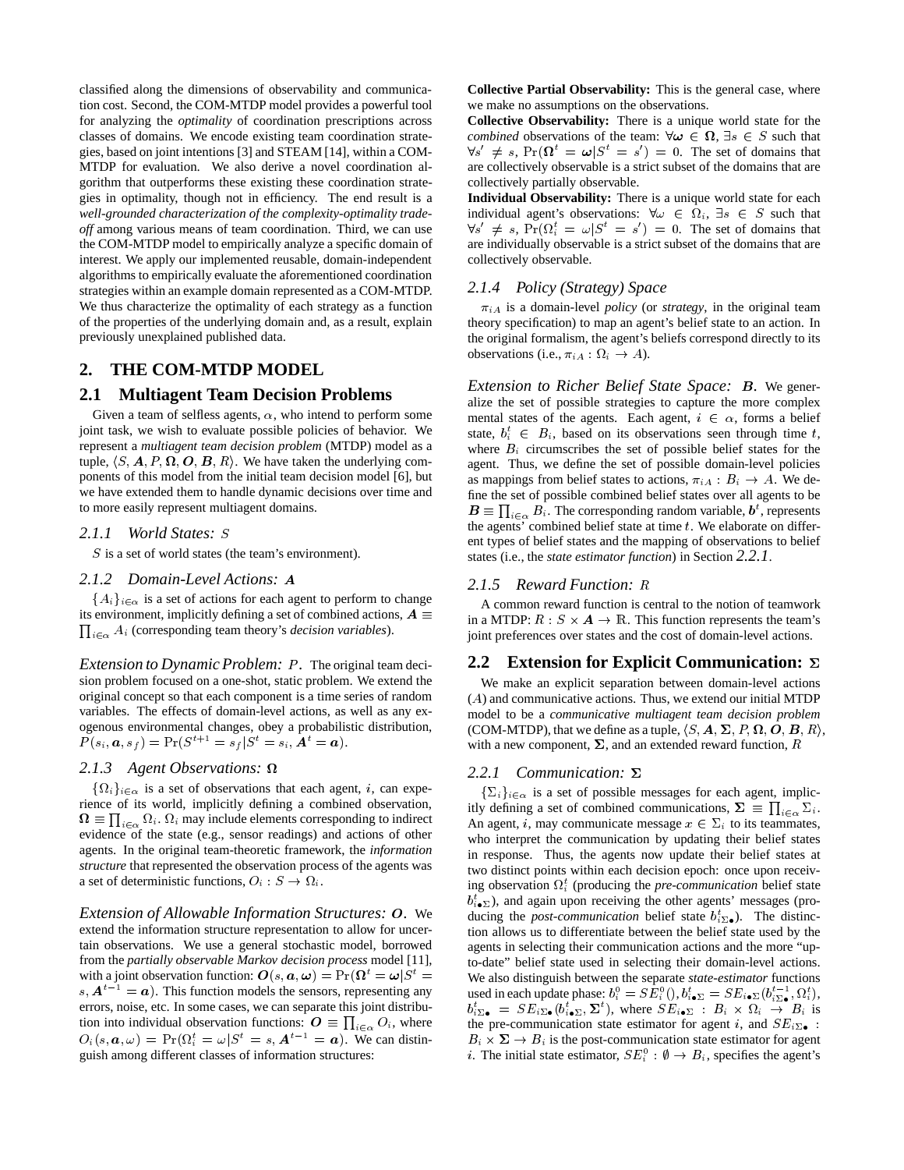classified along the dimensions of observability and communication cost. Second, the COM-MTDP model provides a powerful tool for analyzing the *optimality* of coordination prescriptions across classes of domains. We encode existing team coordination strategies, based on joint intentions [3] and STEAM [14], within a COM-MTDP for evaluation. We also derive a novel coordination algorithm that outperforms these existing these coordination strategies in optimality, though not in efficiency. The end result is a *well-grounded characterization of the complexity-optimality tradeoff* among various means of team coordination. Third, we can use the COM-MTDP model to empirically analyze a specific domain of interest. We apply our implemented reusable, domain-independent algorithms to empirically evaluate the aforementioned coordination strategies within an example domain represented as a COM-MTDP. We thus characterize the optimality of each strategy as a function of the properties of the underlying domain and, as a result, explain previously unexplained published data.

# **2. THE COM-MTDP MODEL**

# **2.1 Multiagent Team Decision Problems**

Given a team of selfless agents,  $\alpha$ , who intend to perform some joint task, we wish to evaluate possible policies of behavior. We represent a *multiagent team decision problem* (MTDP) model as a tuple,  $\langle S, \boldsymbol{A}, P, \boldsymbol{\Omega}, \boldsymbol{O}, \boldsymbol{B}, R \rangle$ . We have taken the underlying components of this model from the initial team decision model [6], but we have extended them to handle dynamic decisions over time and to more easily represent multiagent domains.

#### *2.1.1 World States:* S

 $S$  is a set of world states (the team's environment).

#### *2.1.2 Domain-Level Actions:* A

 ${A_i}_{i \in \alpha}$  is a set of actions for each agent to perform to change  $\prod_{i \in \alpha} A_i$  (corresponding team theory's *decision variables*). its environment, implicitly defining a set of combined actions,  $A \equiv$ 

*Extension to Dynamic Problem: P.* The original team decision problem focused on a one-shot, static problem. We extend the original concept so that each component is a time series of random variables. The effects of domain-level actions, as well as any exogenous environmental changes, obey a probabilistic distribution,  $P(s_i, a, s_f) = Pr(S^{t+1} = s_f | S^t = s_i, \tilde{A}^t = a).$ 

#### *2.1.3 Agent Observations:*

 $\{\Omega_i\}_{i\in\alpha}$  is a set of observations that each agent, i, can experience of its world, implicitly defining a combined observation,  $\Omega \equiv \prod_{i \in \alpha} \Omega_i$ .  $\Omega_i$  may include elements corresponding to indirect evidence of the state (e.g., sensor readings) and actions of other agents. In the original team-theoretic framework, the *information structure* that represented the observation process of the agents was a set of deterministic functions,  $O_i : S \to \Omega_i$ .

*Extension of Allowable Information Structures:* O*.* We extend the information structure representation to allow for uncertain observations. We use a general stochastic model, borrowed from the *partially observable Markov decision process* model [11], with a joint observation function:  $\bm{O}(s, a, \omega) = \Pr(\bm{\Omega}^t = \omega | S^t =$  We also  $s, A^{t-1} = a$ ). This function models the sensors, representing any errors, noise, etc. In some cases, we can separate this joint distribution into individual observation functions:  $\mathbf{O} \equiv \prod_{i \in \alpha} O_i$ , where  $O_i(s, a, \omega) = Pr(\Omega_i^t = \omega | S^t = s, A^{t-1} = a)$ . We can distinguish among different classes of information structures:

**Collective Partial Observability:** This is the general case, where we make no assumptions on the observations.

**Collective Observability:** There is a unique world state for the *combined* observations of the team:  $\forall \omega \in \Omega$ ,  $\exists s \in S$  such that  $\forall s' \neq s$ ,  $Pr(\mathbf{\Omega}^t = \boldsymbol{\omega} | S^t = s') = 0$ . The set of domains that are collectively observable is a strict subset of the domains that are collectively partially observable.

**Individual Observability:** There is a unique world state for each individual agent's observations:  $\forall \omega \in \Omega_i, \exists s \in S$  such that  $\forall s' \neq s$ ,  $Pr(\Omega_i^t = \omega | S^t = s') = 0$ . The set of domains that are individually observable is a strict subset of the domains that are collectively observable.

#### *2.1.4 Policy (Strategy) Space*

 $\pi_{iA}$  is a domain-level *policy* (or *strategy*, in the original team theory specification) to map an agent's belief state to an action. In the original formalism, the agent's beliefs correspond directly to its observations (i.e.,  $\pi_{iA} : \Omega_i \to A$ ).

*Extension to Richer Belief State Space:* B*.* We generalize the set of possible strategies to capture the more complex mental states of the agents. Each agent,  $i \in \alpha$ , forms a belief state,  $b_i^t \in B_i$ , based on its observations seen through time t, where  $B_i$  circumscribes the set of possible belief states for the agent. Thus, we define the set of possible domain-level policies as mappings from belief states to actions,  $\pi_{iA} : B_i \to A$ . We define the set of possible combined belief states over all agents to be  $\mathbf{B} \equiv \prod_{i \in \alpha} B_i$ . The corresponding random variable,  $\mathbf{b}^t$ , represents the agents' combined belief state at time  $t$ . We elaborate on different types of belief states and the mapping of observations to belief states (i.e., the *state estimator function*) in Section *2.2.1*.

#### *2.1.5 Reward Function:* R

A common reward function is central to the notion of teamwork in a MTDP:  $R : S \times A \rightarrow \mathbb{R}$ . This function represents the team's joint preferences over states and the cost of domain-level actions.

#### **2.2 Extension for Explicit Communication:**

We make an explicit separation between domain-level actions (A) and communicative actions. Thus, we extend our initial MTDP model to be a *communicative multiagent team decision problem* (COM-MTDP), that we define as a tuple,  $\langle S, \boldsymbol{A}, \boldsymbol{\Sigma}, P, \boldsymbol{\Omega}, \boldsymbol{O}, \boldsymbol{B}, R \rangle$ , with a new component,  $\Sigma$ , and an extended reward function, R

#### *2.2.1 Communication:*

 $\{\Sigma_i\}_{i \in \alpha}$  is a set of possible messages for each agent, implicitly defining a set of combined communications,  $\Sigma \equiv \prod_{i \in \alpha} \Sigma_i$ . An agent, i, may communicate message  $x \in \Sigma_i$  to its teammates, who interpret the communication by updating their belief states in response. Thus, the agents now update their belief states at two distinct points within each decision epoch: once upon receiving observation  $\Omega_i^t$  (producing the *pre-communication* belief state  $b_{i \bullet \Sigma}^t$ ), and again upon receiving the other agents' messages (producing the *post-communication* belief state  $b_{i\sum_{\alpha}}^{t}$ ). The distinction allows us to differentiate between the belief state used by the agents in selecting their communication actions and the more "upto-date" belief state used in selecting their domain-level actions. We also distinguish between the separate *state-estimator* functions used in each update phase:  $b_i^0 = SE_i^0(), b_{i \bullet \Sigma}^t = SE_{i \bullet \Sigma}(b_{i \Sigma \bullet}^{t-1}, \Omega_i^t),$  $b_{i\sum_{\bullet}}^{t} = SE_{i\sum_{\bullet}}(b_{i\bullet\Sigma}^{t}, \Sigma^{t})$ , where  $SE_{i\bullet\Sigma}$  :  $B_{i} \times \Omega_{i} \rightarrow B_{i}$  is the pre-communication state estimator for agent i, and  $SE_{i\sum_{\bullet}}$ .  $B_i \times \Sigma \rightarrow B_i$  is the post-communication state estimator for agent the pre-communication state estimator for agent *i*, and  $SE_{i\mathbb{D}_{\bullet}}$ :<br>  $B_i \times \Sigma \rightarrow B_i$  is the post-communication state estimator for agent *i*.<br> *i*. The initial state estimator,  $SE_i^0 : \emptyset \rightarrow B_i$ , specifies the agent's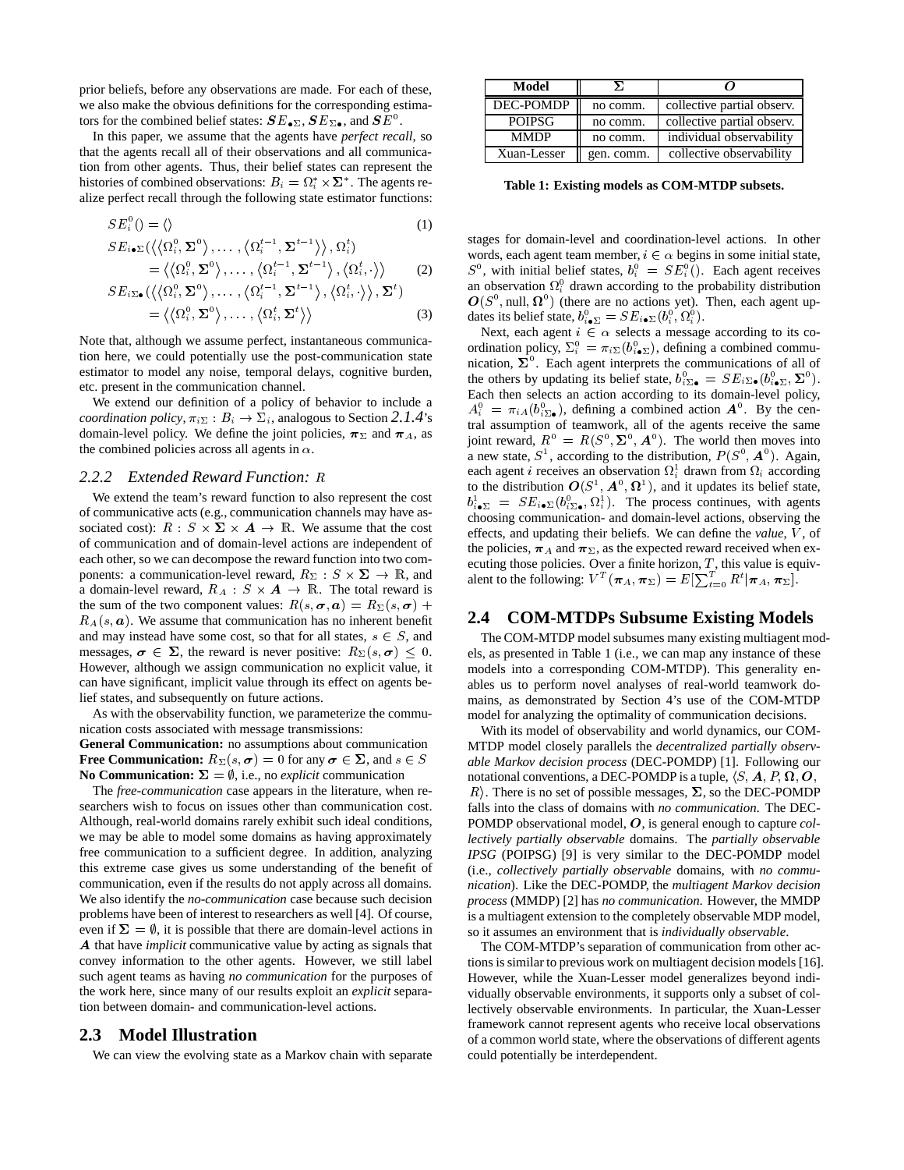prior beliefs, before any observations are made. For each of these, we also make the obvious definitions for the corresponding estimators for the combined belief states:  $SE_{\bullet \Sigma}$ ,  $SE_{\Sigma \bullet}$ , and  $SE^0$ .

In this paper, we assume that the agents have *perfect recall*, so that the agents recall all of their observations and all communication from other agents. Thus, their belief states can represent the histories of combined observations:  $B_i = \Omega_i^* \times \Sigma^*$ . The agents realize perfect recall through the following state estimator functions:

$$
SE_i^0() = \langle\rangle \tag{1}
$$

$$
SE_{i\bullet\Sigma}(\langle\langle\Omega_i^0,\Sigma^0\rangle,\ldots,\langle\Omega_i^{t-1},\Sigma^{t-1}\rangle\rangle,\Omega_i^t) = \langle\langle\Omega_i^0,\Sigma^0\rangle,\ldots,\langle\Omega_i^{t-1},\Sigma^{t-1}\rangle,\langle\Omega_i^t,\cdot\rangle\rangle
$$
 (2)

$$
SE_{i\Sigma\bullet}(\langle \langle \Omega_i^0, \Sigma^0 \rangle, \dots, \langle \Omega_i^{t-1}, \Sigma^{t-1} \rangle, \langle \Omega_i^t, \cdot \rangle \rangle, \Sigma^t) = \langle \langle \Omega_i^0, \Sigma^0 \rangle, \dots, \langle \Omega_i^t, \Sigma^t \rangle \rangle
$$
 (3)

Note that, although we assume perfect, instantaneous communication here, we could potentially use the post-communication state estimator to model any noise, temporal delays, cognitive burden, etc. present in the communication channel.

We extend our definition of a policy of behavior to include a *coordination policy*,  $\pi_{i\sum}$  :  $B_i \rightarrow \Sigma_i$ , analogous to Section 2.1.4's domain-level policy. We define the joint policies,  $\pi_{\Sigma}$  and  $\pi_{A}$ , as the combined policies across all agents in  $\alpha$ .

#### *2.2.2 Extended Reward Function:* R

We extend the team's reward function to also represent the cost of communicative acts (e.g., communication channels may have associated cost):  $R : S \times \Sigma \times A \rightarrow \mathbb{R}$ . We assume that the cost of communication and of domain-level actions are independent of each other, so we can decompose the reward function into two components: a communication-level reward,  $R_{\Sigma}$  :  $S \times \Sigma \rightarrow \mathbb{R}$ , and a domain-level reward,  $R_A : S \times A \rightarrow \mathbb{R}$ . The total reward is the sum of the two component values:  $R(s, \sigma, a) = R_{\Sigma}(s, \sigma) +$  $R_A(s, a)$ . We assume that communication has no inherent benefit and may instead have some cost, so that for all states,  $s \in S$ , and messages,  $\sigma \in \Sigma$ , the reward is never positive:  $R_{\Sigma}(s, \sigma) \leq 0$ . However, although we assign communication no explicit value, it can have significant, implicit value through its effect on agents belief states, and subsequently on future actions.

As with the observability function, we parameterize the communication costs associated with message transmissions:

**General Communication:** no assumptions about communication **Free Communication:**  $R_{\Sigma}(s, \sigma) = 0$  for any  $\sigma \in \Sigma$ , and  $s \in S$ **No Communication:**  $\Sigma = \emptyset$ , i.e., no *explicit* communication

The *free-communication* case appears in the literature, when researchers wish to focus on issues other than communication cost. Although, real-world domains rarely exhibit such ideal conditions, we may be able to model some domains as having approximately free communication to a sufficient degree. In addition, analyzing this extreme case gives us some understanding of the benefit of communication, even if the results do not apply across all domains. We also identify the *no-communication* case because such decision problems have been of interest to researchers as well [4]. Of course, even if  $\Sigma = \emptyset$ , it is possible that there are domain-level actions in A that have *implicit* communicative value by acting as signals that convey information to the other agents. However, we still label such agent teams as having *no communication* for the purposes of the work here, since many of our results exploit an *explicit* separation between domain- and communication-level actions.

# **2.3 Model Illustration**

We can view the evolving state as a Markov chain with separate

| Model         |            |                            |
|---------------|------------|----------------------------|
| DEC-POMDP     | no comm.   | collective partial observ. |
| <b>POIPSG</b> | no comm.   | collective partial observ. |
| <b>MMDP</b>   | no comm.   | individual observability   |
| Xuan-Lesser   | gen. comm. | collective observability   |

**Table 1: Existing models as COM-MTDP subsets.**

stages for domain-level and coordination-level actions. In other words, each agent team member,  $i \in \alpha$  begins in some initial state,  $S^0$ , with initial belief states,  $b_i^0 = SE_i^0$ . Each agent receives an observation  $\Omega_i^0$  drawn according to the probability distribution  $\mathbf{O}(S^0, \text{null}, \Omega^0)$  (there are no actions yet). Then, each agent updates its belief state,  $b_{i \bullet \Sigma}^0 = SE_{i \bullet \Sigma}(b_i^0, \Omega_i^0)$ .

Next, each agent  $i \in \alpha$  selects a message according to its coordination policy,  $\Sigma_i^0 = \pi_{i\Sigma}(b_{i\bullet\Sigma}^0)$ , defining a combined communication,  $\Sigma^0$ . Each agent interprets the communications of all of the others by updating its belief state,  $b_{i\sum_{\alpha}}^{\mathbf{0}} = SE_{i\sum_{\alpha}}(b_{i\alpha}^{\mathbf{0}}\Sigma, \Sigma^{\mathbf{0}})$ . Each then selects an action according to its domain-level policy,  $A_i^0 = \pi_{iA}(b_{i\sum \bullet}^0)$ , defining a combined action  $A^0$ . By the central assumption of teamwork, all of the agents receive the same joint reward,  $R^0 = R(S^0, \Sigma^0, A^0)$ . The world then moves into a new state,  $S^1$ , according to the distribution,  $P(S^0, A^0)$ . Again, each agent *i* receives an observation  $\Omega_i^1$  drawn from  $\Omega_i$  according to the distribution  $O(S^1, A^0, \Omega^1)$ , and it updates its belief state,  $b_{i \bullet \Sigma}^1 = SE_{i \bullet \Sigma}(b_{i \Sigma \bullet}^0, \Omega_i^1)$ . The process continues, with agents choosing communication- and domain-level actions, observing the effects, and updating their beliefs. We can define the *value*, V , of the policies,  $\pi_A$  and  $\pi_{\Sigma}$ , as the expected reward received when executing those policies. Over a finite horizon,  $T$ , this value is equivalent to the following:  $V^T(\bm{\pi}_A, \bm{\pi}_{\Sigma}) = E[\sum_{t=0}^T R^t | \bm{\pi}_A, \bm{\pi}_{\Sigma}].$ 

# **2.4 COM-MTDPs Subsume Existing Models**

The COM-MTDP model subsumes many existing multiagent models, as presented in Table 1 (i.e., we can map any instance of these models into a corresponding COM-MTDP). This generality enables us to perform novel analyses of real-world teamwork domains, as demonstrated by Section 4's use of the COM-MTDP model for analyzing the optimality of communication decisions.

With its model of observability and world dynamics, our COM-MTDP model closely parallels the *decentralized partially observable Markov decision process* (DEC-POMDP) [1]. Following our notational conventions, a DEC-POMDP is a tuple,  $\langle S, \boldsymbol{A}, P, \boldsymbol{\Omega}, \boldsymbol{O}, \boldsymbol{\Omega} \rangle$  $R$ ). There is no set of possible messages,  $\Sigma$ , so the DEC-POMDP falls into the class of domains with *no communication*. The DEC-POMDP observational model, <sup>O</sup>, is general enough to capture *collectively partially observable* domains. The *partially observable IPSG* (POIPSG) [9] is very similar to the DEC-POMDP model (i.e., *collectively partially observable* domains, with *no communication*). Like the DEC-POMDP, the *multiagent Markov decision process* (MMDP) [2] has *no communication*. However, the MMDP is a multiagent extension to the completely observable MDP model, so it assumes an environment that is *individually observable*.

The COM-MTDP's separation of communication from other actions is similar to previous work on multiagent decision models [16]. However, while the Xuan-Lesser model generalizes beyond individually observable environments, it supports only a subset of collectively observable environments. In particular, the Xuan-Lesser framework cannot represent agents who receive local observations of a common world state, where the observations of different agents could potentially be interdependent.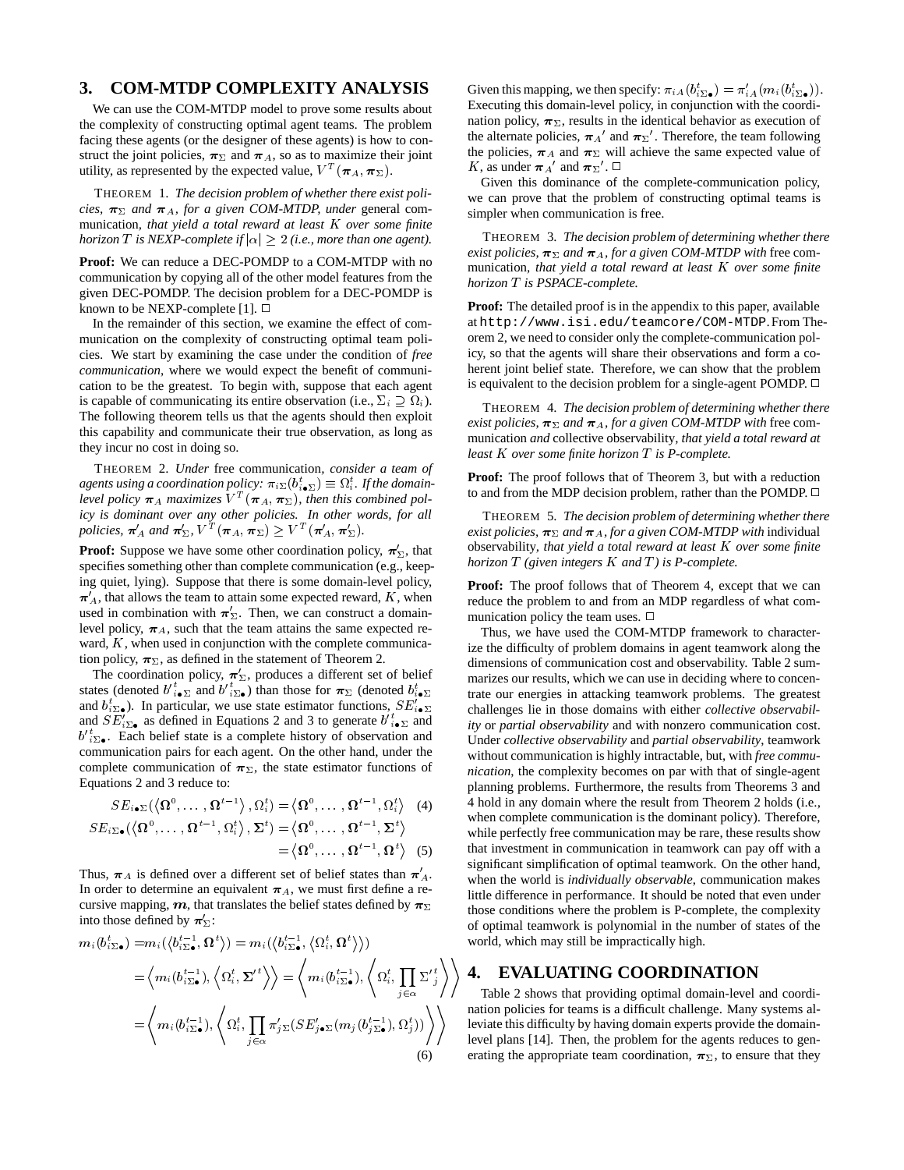# **3. COM-MTDP COMPLEXITY ANALYSIS**

We can use the COM-MTDP model to prove some results about the complexity of constructing optimal agent teams. The problem facing these agents (or the designer of these agents) is how to construct the joint policies,  $\pi_{\Sigma}$  and  $\pi_{A}$ , so as to maximize their joint utility, as represented by the expected value,  $V^T(\pi_A, \pi_\Sigma)$ .

THEOREM 1. *The decision problem of whether there exist policies,*  $\pi_{\Sigma}$  and  $\pi_{A}$ *, for a given COM-MTDP, under* general communication*, that yield a total reward at least* K *over some finite horizon*  $T$  *is NEXP-complete if*  $|\alpha| \geq 2$  (*i.e., more than one agent*).

**Proof:** We can reduce a DEC-POMDP to a COM-MTDP with no communication by copying all of the other model features from the given DEC-POMDP. The decision problem for a DEC-POMDP is known to be NEXP-complete [1].  $\Box$ 

In the remainder of this section, we examine the effect of communication on the complexity of constructing optimal team policies. We start by examining the case under the condition of *free communication*, where we would expect the benefit of communication to be the greatest. To begin with, suppose that each agent is capable of communicating its entire observation (i.e.,  $\Sigma_i \supseteq \Omega_i$ ). The following theorem tells us that the agents should then exploit this capability and communicate their true observation, as long as they incur no cost in doing so.

THEOREM 2. *Under* free communication*, consider a team of* agents using a coordination policy:  $\pi_{i\Sigma}(b_{i\bullet\Sigma}^t) \equiv \Omega_i^t$ . If the domainlevel policy  $\boldsymbol{\pi}_A$  maximizes  $V^T(\boldsymbol{\pi}_A, \boldsymbol{\pi}_{\Sigma})$ , then this combined pol*icy is dominant over any other policies. In other words, for all* policies,  $\pi'_A$  and  $\pi'_{\Sigma}$ ,  $V^T(\pi_A, \pi_{\Sigma}) \geq V^T(\pi'_A, \pi'_{\Sigma})$ .

**Proof:** Suppose we have some other coordination policy,  $\pi'_{\Sigma}$ , that specifies something other than complete communication (e.g., keeping quiet, lying). Suppose that there is some domain-level policy,  $\pi'_{A}$ , that allows the team to attain some expected reward, K, when used in combination with  $\pi'_{\Sigma}$ . Then, we can construct a domainlevel policy,  $\pi_A$ , such that the team attains the same expected reward,  $K$ , when used in conjunction with the complete communication policy,  $\pi_{\Sigma}$ , as defined in the statement of Theorem 2.

The coordination policy,  $\pi'_{\Sigma}$ , produces a different set of belief states (denoted  $b_{i\bullet\Sigma}^{\prime t}$  and  $b_{i\bullet\Sigma}^{\prime t}$ ) than those for  $\pi_{\Sigma}$  (denoted  $b_{i\bullet\Sigma}^t$ and  $b_{i\sum}^t$ ). In particular, we use state estimator functions,  $SE'_{i\bullet \sum}$  cha and  $SE'_{i\sum_{\bullet}}$  as defined in Equations 2 and 3 to generate  $b'_{i\bullet\Sigma}$  and  $b_{i\sum_{\alpha}}^{i\sigma}$ . Each belief state is a complete history of observation and communication pairs for each agent. On the other hand, under the complete communication of  $\pi_{\Sigma}$ , the state estimator functions of Equations 2 and 3 reduce to:

$$
SE_{i\bullet\Sigma}(\langle \Omega^0, \ldots, \Omega^{t-1} \rangle, \Omega_i^t) = \langle \Omega^0, \ldots, \Omega^{t-1}, \Omega_i^t \rangle
$$
 (4)  

$$
SE_{i\Sigma\bullet}(\langle \Omega^0, \ldots, \Omega^{t-1}, \Omega_i^t \rangle, \Sigma^t) = \langle \Omega^0, \ldots, \Omega^{t-1}, \Sigma^t \rangle
$$

$$
= \langle \Omega^0, \ldots, \Omega^{t-1}, \Omega^t \rangle
$$
 (5)

Thus,  $\pi_A$  is defined over a different set of belief states than  $\pi'_A$ . In order to determine an equivalent  $\pi_A$ , we must first define a recursive mapping, m, that translates the belief states defined by  $\pi_{\Sigma}$ into those defined by  $\pi'_{\Sigma}$ :

$$
m_i(b_{i\Sigma\bullet}^{t-}) = m_i(\langle b_{i\Sigma\bullet}^{t-1}, \Omega^t \rangle) = m_i(\langle b_{i\Sigma\bullet}^{t-1}, \langle \Omega_i^t, \Omega^t \rangle) )
$$
  
=  $\langle m_i(b_{i\Sigma\bullet}^{t-1}), \langle \Omega_i^t, \Sigma^{t} \rangle \rangle = \langle m_i(b_{i\Sigma\bullet}^{t-1}), \langle \Omega_i^t, \prod_{j \in \alpha} \Sigma_{j}^{t} \rangle \rangle$   
=  $\langle m_i(b_{i\Sigma\bullet}^{t-1}), \langle \Omega_i^t, \prod_{j \in \alpha} \pi_{j\Sigma}^t (SE_{j\bullet\Sigma}^t (m_j(b_{j\Sigma\bullet}^{t-1}), \Omega_j^t)) \rangle \rangle$  (6)

Given this mapping, we then specify:  $\pi_{iA}(b_{i\sum \bullet}^t) = \pi'_{iA}(m_i(b_{i\sum \bullet}^t))$ . Executing this domain-level policy, in conjunction with the coordination policy,  $\pi_{\Sigma}$ , results in the identical behavior as execution of the alternate policies,  $\pi_A'$  and  $\pi_{\Sigma}$ '. Therefore, the team following the policies,  $\pi_A$  and  $\pi_\Sigma$  will achieve the same expected value of K, as under  $\pi_A'$  and  $\pi_{\Sigma}'$ .  $\Box$ 

Given this dominance of the complete-communication policy, we can prove that the problem of constructing optimal teams is simpler when communication is free.

THEOREM 3. *The decision problem of determining whether there exist policies,*  $\pi_{\Sigma}$  *and*  $\pi_{A}$ *, for a given COM-MTDP with* free communication*, that yield a total reward at least* K *over some finite horizon* T *is PSPACE-complete.*

**Proof:** The detailed proof is in the appendix to this paper, available at http://www.isi.edu/teamcore/COM-MTDP.From Theorem 2, we need to consider only the complete-communication policy, so that the agents will share their observations and form a coherent joint belief state. Therefore, we can show that the problem is equivalent to the decision problem for a single-agent POMDP.  $\Box$ 

THEOREM 4. *The decision problem of determining whether there exist policies,*  $\pi_{\Sigma}$  *and*  $\pi_{A}$ *, for a given COM-MTDP with* free communication *and* collective observability*, that yield a total reward at least* K *over some finite horizon* T *is P-complete.*

**Proof:** The proof follows that of Theorem 3, but with a reduction to and from the MDP decision problem, rather than the POMDP.  $\Box$ 

THEOREM 5. *The decision problem of determining whether there exist policies,*  $\pi_{\Sigma}$  *and*  $\pi_{A}$ *, for a given COM-MTDP with* individual observability*, that yield a total reward at least* K *over some finite horizon* T *(given integers* K *and* T *) is P-complete.*

**Proof:** The proof follows that of Theorem 4, except that we can reduce the problem to and from an MDP regardless of what communication policy the team uses.  $\Box$ 

 $i \bullet \Sigma$  trate our energies in attacking teamwork problems. The greatest Thus, we have used the COM-MTDP framework to characterize the difficulty of problem domains in agent teamwork along the dimensions of communication cost and observability. Table 2 summarizes our results, which we can use in deciding where to concenchallenges lie in those domains with either *collective observability* or *partial observability* and with nonzero communication cost. Under *collective observability* and *partial observability*, teamwork without communication is highly intractable, but, with *free communication*, the complexity becomes on par with that of single-agent planning problems. Furthermore, the results from Theorems 3 and 4 hold in any domain where the result from Theorem 2 holds (i.e., when complete communication is the dominant policy). Therefore, while perfectly free communication may be rare, these results show that investment in communication in teamwork can pay off with a significant simplification of optimal teamwork. On the other hand, when the world is *individually observable*, communication makes little difference in performance. It should be noted that even under those conditions where the problem is P-complete, the complexity of optimal teamwork is polynomial in the number of states of the world, which may still be impractically high.

# $\left\langle \sum_{i \in \alpha} \sum_{j}^{t} \right\rangle$  **4. EVALUATING COORDINATION**

 $\binom{t}{i}$  and policies for teams is a difficult challenge. Many systems algebraic is a leviate this difficulty by having domain experts provide the domain-Table 2 shows that providing optimal domain-level and coordination policies for teams is a difficult challenge. Many systems allevel plans [14]. Then, the problem for the agents reduces to generating the appropriate team coordination,  $\pi_{\Sigma}$ , to ensure that they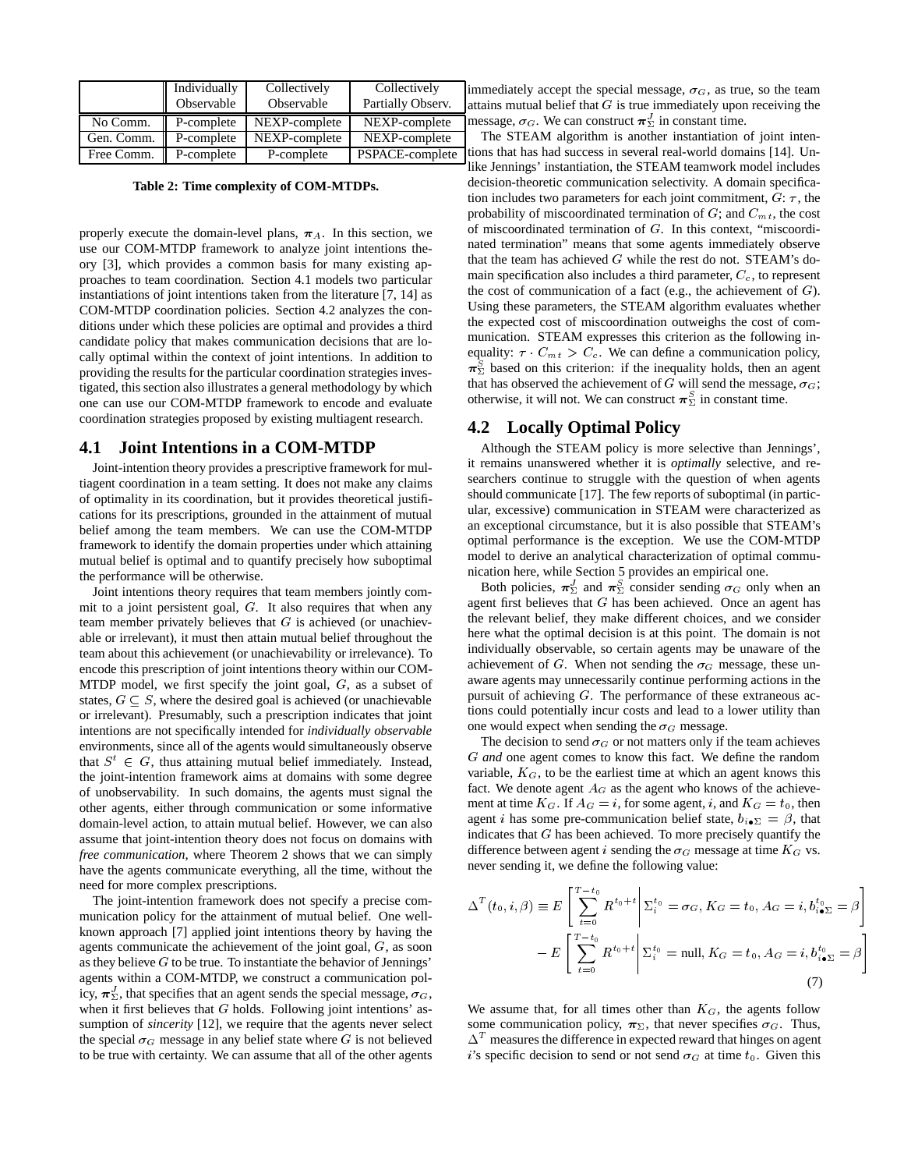|            | Individually | Collectively  | Collectively      |
|------------|--------------|---------------|-------------------|
|            | Observable   | Observable    | Partially Observ. |
| No Comm.   | P-complete   | NEXP-complete | NEXP-complete     |
| Gen. Comm. | P-complete   | NEXP-complete | NEXP-complete     |
| Free Comm. | P-complete   | P-complete    | PSPACE-complete   |

**Table 2: Time complexity of COM-MTDPs.**

properly execute the domain-level plans,  $\pi_A$ . In this section, we use our COM-MTDP framework to analyze joint intentions theory [3], which provides a common basis for many existing approaches to team coordination. Section 4.1 models two particular instantiations of joint intentions taken from the literature [7, 14] as COM-MTDP coordination policies. Section 4.2 analyzes the conditions under which these policies are optimal and provides a third candidate policy that makes communication decisions that are locally optimal within the context of joint intentions. In addition to providing the results for the particular coordination strategies investigated, this section also illustrates a general methodology by which one can use our COM-MTDP framework to encode and evaluate coordination strategies proposed by existing multiagent research.

#### **4.1 Joint Intentions in a COM-MTDP**

Joint-intention theory provides a prescriptive framework for multiagent coordination in a team setting. It does not make any claims of optimality in its coordination, but it provides theoretical justifications for its prescriptions, grounded in the attainment of mutual belief among the team members. We can use the COM-MTDP framework to identify the domain properties under which attaining mutual belief is optimal and to quantify precisely how suboptimal the performance will be otherwise.

Joint intentions theory requires that team members jointly commit to a joint persistent goal, G. It also requires that when any team member privately believes that  $G$  is achieved (or unachievable or irrelevant), it must then attain mutual belief throughout the team about this achievement (or unachievability or irrelevance). To encode this prescription of joint intentions theory within our COM-MTDP model, we first specify the joint goal,  $G$ , as a subset of states,  $G \subseteq S$ , where the desired goal is achieved (or unachievable or irrelevant). Presumably, such a prescription indicates that joint intentions are not specifically intended for *individually observable* environments, since all of the agents would simultaneously observe that  $S^t \in G$ , thus attaining mutual belief immediately. Instead, the joint-intention framework aims at domains with some degree of unobservability. In such domains, the agents must signal the other agents, either through communication or some informative domain-level action, to attain mutual belief. However, we can also assume that joint-intention theory does not focus on domains with *free communication*, where Theorem 2 shows that we can simply have the agents communicate everything, all the time, without the need for more complex prescriptions.

The joint-intention framework does not specify a precise communication policy for the attainment of mutual belief. One wellknown approach [7] applied joint intentions theory by having the agents communicate the achievement of the joint goal,  $G$ , as soon as they believe  $G$  to be true. To instantiate the behavior of Jennings' agents within a COM-MTDP, we construct a communication policy,  $\pi_{\Sigma}^{J}$ , that specifies that an agent sends the special message,  $\sigma_{G}$ , when it first believes that  $G$  holds. Following joint intentions' assumption of *sincerity* [12], we require that the agents never select the special  $\sigma_G$  message in any belief state where G is not believed to be true with certainty. We can assume that all of the other agents

immediately accept the special message,  $\sigma_G$ , as true, so the team attains mutual belief that  $G$  is true immediately upon receiving the message,  $\sigma_G$ . We can construct  $\pi_{\Sigma}^J$  in constant time.

The STEAM algorithm is another instantiation of joint intentions that has had success in several real-world domains [14]. Unlike Jennings' instantiation, the STEAM teamwork model includes decision-theoretic communication selectivity. A domain specification includes two parameters for each joint commitment,  $G: \tau$ , the probability of miscoordinated termination of  $G$ ; and  $C_{mt}$ , the cost of miscoordinated termination of G. In this context, "miscoordinated termination" means that some agents immediately observe that the team has achieved  $G$  while the rest do not. STEAM's domain specification also includes a third parameter,  $C_c$ , to represent the cost of communication of a fact (e.g., the achievement of  $G$ ). Using these parameters, the STEAM algorithm evaluates whether the expected cost of miscoordination outweighs the cost of communication. STEAM expresses this criterion as the following inequality:  $\tau \cdot C_{mt} > C_c$ . We can define a communication policy,  $\pi_{\Sigma}^{S}$  based on this criterion: if the inequality holds, then an agent that has observed the achievement of G will send the message,  $\sigma_G$ ; otherwise, it will not. We can construct  $\pi_{\Sigma}^{S}$  in constant time.

# **4.2 Locally Optimal Policy**

Although the STEAM policy is more selective than Jennings', it remains unanswered whether it is *optimally* selective, and researchers continue to struggle with the question of when agents should communicate [17]. The few reports of suboptimal (in particular, excessive) communication in STEAM were characterized as an exceptional circumstance, but it is also possible that STEAM's optimal performance is the exception. We use the COM-MTDP model to derive an analytical characterization of optimal communication here, while Section 5 provides an empirical one.

Both policies,  $\pi_{\Sigma}^{J}$  and  $\pi_{\Sigma}^{S}$  consider sending  $\sigma_{G}$  only when an agent first believes that  $G$  has been achieved. Once an agent has the relevant belief, they make different choices, and we consider here what the optimal decision is at this point. The domain is not individually observable, so certain agents may be unaware of the achievement of G. When not sending the  $\sigma_G$  message, these unaware agents may unnecessarily continue performing actions in the pursuit of achieving G. The performance of these extraneous actions could potentially incur costs and lead to a lower utility than one would expect when sending the  $\sigma_G$  message.

The decision to send  $\sigma_G$  or not matters only if the team achieves G *and* one agent comes to know this fact. We define the random variable,  $K_G$ , to be the earliest time at which an agent knows this fact. We denote agent  $A_G$  as the agent who knows of the achievement at time  $K_G$ . If  $A_G = i$ , for some agent, i, and  $K_G = t_0$ , then agent *i* has some pre-communication belief state,  $b_{i \bullet \Sigma} = \beta$ , that indicates that  $G$  has been achieved. To more precisely quantify the difference between agent i sending the  $\sigma_G$  message at time  $K_G$  vs. never sending it, we define the following value:

$$
\Delta^{T}(t_{0}, i, \beta) \equiv E\left[\sum_{t=0}^{T-t_{0}} R^{t_{0}+t} \middle| \Sigma_{i}^{t_{0}} = \sigma_{G}, K_{G} = t_{0}, A_{G} = i, b_{i \bullet \Sigma}^{t_{0}} = \beta\right]
$$

$$
-E\left[\sum_{t=0}^{T-t_{0}} R^{t_{0}+t} \middle| \Sigma_{i}^{t_{0}} = \text{null}, K_{G} = t_{0}, A_{G} = i, b_{i \bullet \Sigma}^{t_{0}} = \beta\right]
$$
(7)

We assume that, for all times other than  $K_G$ , the agents follow some communication policy,  $\pi_{\Sigma}$ , that never specifies  $\sigma_G$ . Thus,  $\Delta^{T}$  measures the difference in expected reward that hinges on agent i's specific decision to send or not send  $\sigma_G$  at time  $t_0$ . Given this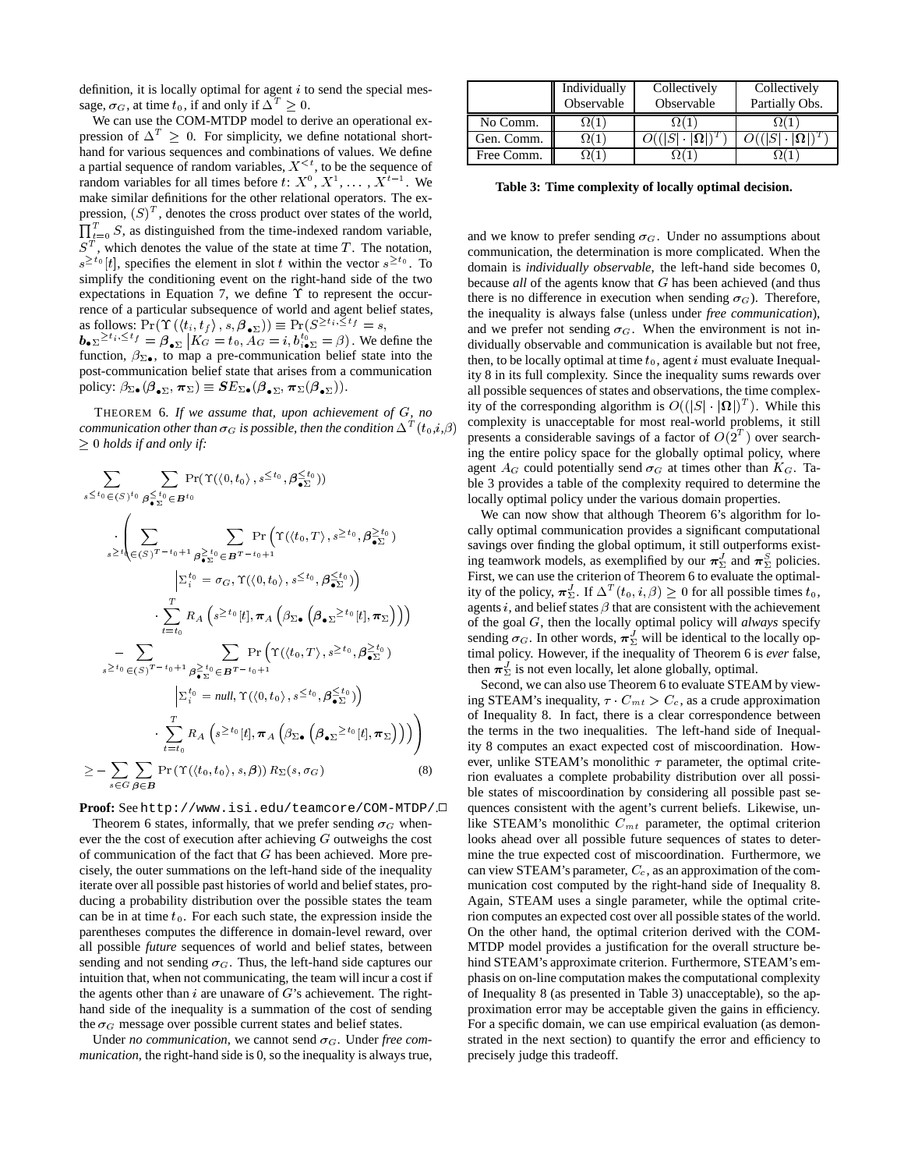definition, it is locally optimal for agent  $i$  to send the special message,  $\sigma_G$ , at time  $t_0$ , if and only if  $\Delta^T \geq 0$ .

We can use the COM-MTDP model to derive an operational expression of  $\Delta^T > 0$ . For simplicity, we define notational shorthand for various sequences and combinations of values. We define a partial sequence of random variables,  $X^{\leq t}$ , to be the sequence of random variables for all times before  $t: X^0, X^1, \ldots, X^{t-1}$ . We make similar definitions for the other relational operators. The expression,  $(S)^T$ , denotes the cross product over states of the world,  $\prod_{t=0}^{T} S$ , as distinguished from the time-indexed random variable,  $S<sup>T</sup>$ , which denotes the value of the state at time T. The notation,  $s^{\geq t_0}[t]$ , specifies the element in slot t within the vector  $s^{\geq t_0}$ . To simplify the conditioning event on the right-hand side of the two expectations in Equation 7, we define  $\Upsilon$  to represent the occurrence of a particular subsequence of world and agent belief states, as follows:  $\Pr(\Upsilon(\langle t_i, t_f \rangle, s, \beta_{\bullet \Sigma})) \equiv \Pr(S^{\geq t_i, \leq t_f} = s,$  $\bm{b}_{\bullet \Sigma} \geq t_i, \leq t_f = \bm{\beta}_{\bullet \Sigma} | K_G = t_0, A_G = i, b_{i \bullet \Sigma}^{t_0} = \beta)$ . We define the

function,  $\beta_{\Sigma \bullet}$ , to map a pre-communication belief state into the post-communication belief state that arises from a communication policy:  $\beta_{\Sigma \bullet}(\boldsymbol{\beta}_{\bullet \Sigma}, \boldsymbol{\pi}_{\Sigma}) \equiv \boldsymbol{S} E_{\Sigma \bullet}(\boldsymbol{\beta}_{\bullet \Sigma}, \boldsymbol{\pi}_{\Sigma}(\boldsymbol{\beta}_{\bullet \Sigma})).$ 

THEOREM 6. *If we assume that, upon achievement of* G*, no communication other than*  $\sigma_G$  *is possible, then the condition*  $\Delta^T(t_0,i,\beta)$  comp  $\geq 0$  *holds if and only if:* 

$$
\sum_{s \leq t_0} \sum_{\substack{\in (S)^{t_0} \beta \leq t_0 \\ s \geq t_0}} \Pr(\Upsilon(\langle 0, t_0 \rangle, s^{\leq t_0}, \beta \leq t_0))
$$
\n
$$
\cdot \left( \sum_{s \geq t_0} \sum_{\substack{\in (S)^{T-t_0+1} \beta \geq t_0 \\ s \geq t_0}} \Pr(\Upsilon(\langle t_0, T \rangle, s^{\geq t_0}, \beta \leq t_0) \right)
$$
\n
$$
\cdot \sum_{t=t_0}^{T} R_A \left( s^{\geq t_0}[t], \pi_A \left( \beta_{\Sigma \bullet} \left( \beta_{\bullet \Sigma} \geq t_0[t], \pi_{\Sigma} \right) \right) \right)
$$
\n
$$
- \sum_{s \geq t_0} \sum_{\substack{\in (S)^{T-t_0+1} \beta \geq t_0 \\ s \geq t_0}} \Pr(\Upsilon(\langle t_0, T \rangle, s^{\geq t_0}, \beta \leq t_0) \right)
$$
\n
$$
\cdot \sum_{t=t_0}^{T} \sum_{\substack{\in (S)^{T-t_0+1} \beta \geq t_0 \\ s \geq t_0}} \Pr(\Upsilon(\langle t_0, T \rangle, s^{\leq t_0}, \beta \leq t_0) \right)
$$
\n
$$
\cdot \sum_{t=t_0}^{T} R_A \left( s^{\geq t_0}[t], \pi_A \left( \beta_{\Sigma \bullet} \left( \beta_{\bullet \Sigma} \geq t_0[t], \pi_{\Sigma} \right) \right) \right)
$$
\n
$$
\geq - \sum_{s \in G} \sum_{\beta \in B} \Pr(\Upsilon(\langle t_0, t_0 \rangle, s, \beta)) R_{\Sigma}(s, \sigma_G) \tag{8}
$$

**Proof:** See http://www.isi.edu/teamcore/COM-MTDP/.<sup>2</sup> Theorem 6 states, informally, that we prefer sending  $\sigma_G$  whenever the the cost of execution after achieving <sup>G</sup> outweighs the cost of communication of the fact that  $G$  has been achieved. More precisely, the outer summations on the left-hand side of the inequality iterate over all possible past histories of world and belief states, producing a probability distribution over the possible states the team can be in at time  $t_0$ . For each such state, the expression inside the parentheses computes the difference in domain-level reward, over all possible *future* sequences of world and belief states, between sending and not sending  $\sigma_G$ . Thus, the left-hand side captures our intuition that, when not communicating, the team will incur a cost if the agents other than  $i$  are unaware of  $G$ 's achievement. The righthand side of the inequality is a summation of the cost of sending the  $\sigma_G$  message over possible current states and belief states.

Under *no communication*, we cannot send  $\sigma_G$ . Under *free communication*, the right-hand side is 0, so the inequality is always true,

|            | Individually<br>Observable | Collectively<br>Observable | Collectively<br>Partially Obs. |
|------------|----------------------------|----------------------------|--------------------------------|
| No Comm.   |                            |                            |                                |
| Gen. Comm. |                            |                            |                                |
| Free Comm. |                            |                            |                                |

**Table 3: Time complexity of locally optimal decision.**

and we know to prefer sending  $\sigma_G$ . Under no assumptions about communication, the determination is more complicated. When the domain is *individually observable*, the left-hand side becomes 0, because *all* of the agents know that G has been achieved (and thus there is no difference in execution when sending  $\sigma_G$ ). Therefore, the inequality is always false (unless under *free communication*), and we prefer not sending  $\sigma_G$ . When the environment is not individually observable and communication is available but not free, then, to be locally optimal at time  $t_0$ , agent i must evaluate Inequality 8 in its full complexity. Since the inequality sums rewards over all possible sequences of states and observations, the time complexity of the corresponding algorithm is  $O((|S| \cdot |\Omega|)^T)$ . While this complexity is unacceptable for most real-world problems, it still presents a considerable savings of a factor of  $O(2<sup>T</sup>)$  over searching the entire policy space for the globally optimal policy, where agent  $A_G$  could potentially send  $\sigma_G$  at times other than  $K_G$ . Table 3 provides a table of the complexity required to determine the locally optimal policy under the various domain properties.

We can now show that although Theorem 6's algorithm for locally optimal communication provides a significant computational savings over finding the global optimum, it still outperforms existing teamwork models, as exemplified by our  $\pi_{\Sigma}^{J}$  and  $\pi_{\Sigma}^{S}$  policies. First, we can use the criterion of Theorem 6 to evaluate the optimality of the policy,  $\pi_{\Sigma}^{J}$ . If  $\Delta^{T}(t_0, i, \beta) \geq 0$  for all possible times  $t_0$ , agents i, and belief states  $\beta$  that are consistent with the achievement of the goal G, then the locally optimal policy will *always* specify sending  $\sigma_G$ . In other words,  $\pi_{\Sigma}^{J}$  will be identical to the locally optimal policy. However, if the inequality of Theorem 6 is *ever* false, then  $\pi_{\Sigma}^{J}$  is not even locally, let alone globally, optimal.

or inequality 8. In fact, there is a clear correspondence between<br>
(1) A ity 8 computes an exact expected cost of miscoordination. How-Second, we can also use Theorem 6 to evaluate STEAM by viewing STEAM's inequality,  $\tau \cdot C_{mt} > C_c$ , as a crude approximation of Inequality 8. In fact, there is a clear correspondence between ever, unlike STEAM's monolithic  $\tau$  parameter, the optimal criterion evaluates a complete probability distribution over all possible states of miscoordination by considering all possible past sequences consistent with the agent's current beliefs. Likewise, unlike STEAM's monolithic  $C<sub>mt</sub>$  parameter, the optimal criterion looks ahead over all possible future sequences of states to determine the true expected cost of miscoordination. Furthermore, we can view STEAM's parameter,  $C_c$ , as an approximation of the communication cost computed by the right-hand side of Inequality 8. Again, STEAM uses a single parameter, while the optimal criterion computes an expected cost over all possible states of the world. On the other hand, the optimal criterion derived with the COM-MTDP model provides a justification for the overall structure behind STEAM's approximate criterion. Furthermore, STEAM's emphasis on on-line computation makes the computational complexity of Inequality 8 (as presented in Table 3) unacceptable), so the approximation error may be acceptable given the gains in efficiency. For a specific domain, we can use empirical evaluation (as demonstrated in the next section) to quantify the error and efficiency to precisely judge this tradeoff.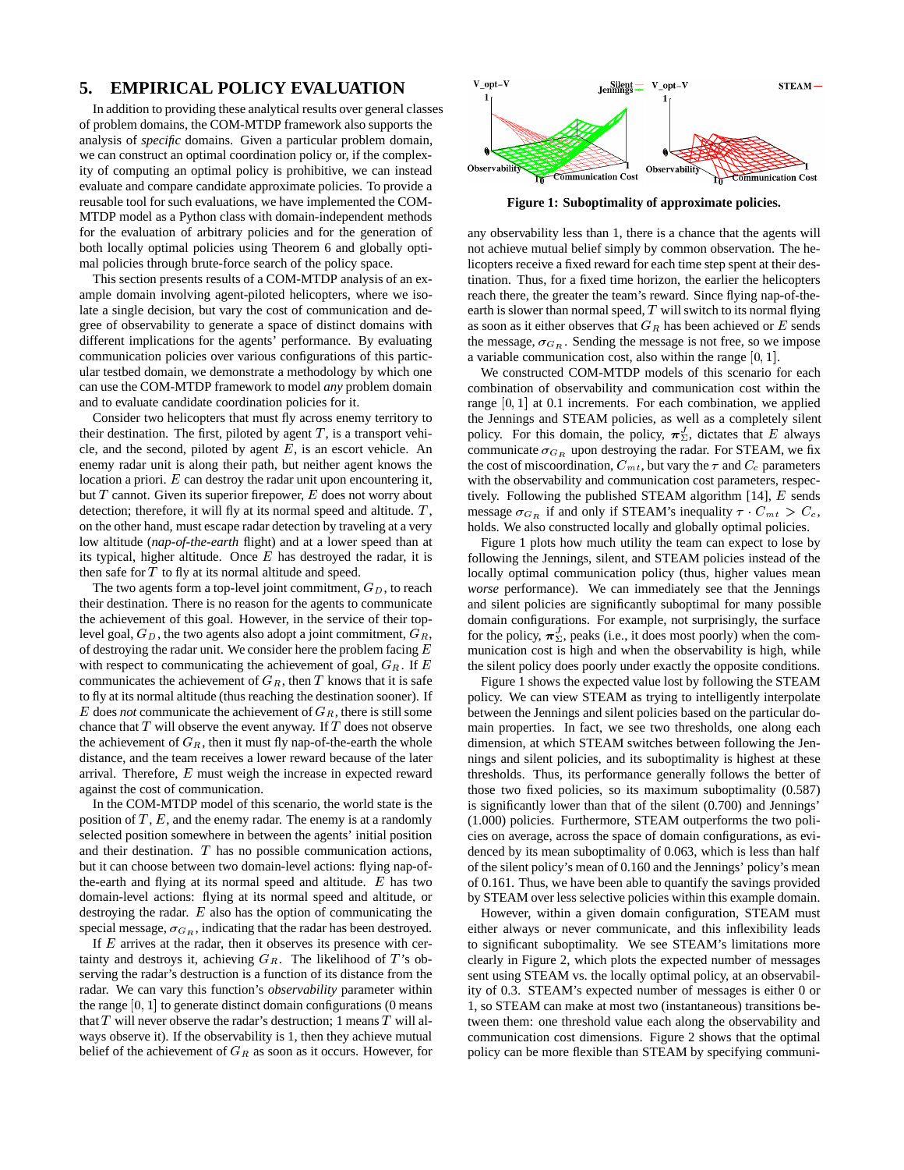# **5. EMPIRICAL POLICY EVALUATION**

In addition to providing these analytical results over general classes of problem domains, the COM-MTDP framework also supports the analysis of *specific* domains. Given a particular problem domain, we can construct an optimal coordination policy or, if the complexity of computing an optimal policy is prohibitive, we can instead evaluate and compare candidate approximate policies. To provide a reusable tool for such evaluations, we have implemented the COM-MTDP model as a Python class with domain-independent methods for the evaluation of arbitrary policies and for the generation of both locally optimal policies using Theorem 6 and globally optimal policies through brute-force search of the policy space.

This section presents results of a COM-MTDP analysis of an example domain involving agent-piloted helicopters, where we isolate a single decision, but vary the cost of communication and degree of observability to generate a space of distinct domains with different implications for the agents' performance. By evaluating communication policies over various configurations of this particular testbed domain, we demonstrate a methodology by which one can use the COM-MTDP framework to model *any* problem domain and to evaluate candidate coordination policies for it.

Consider two helicopters that must fly across enemy territory to their destination. The first, piloted by agent  $T$ , is a transport vehicle, and the second, piloted by agent  $E$ , is an escort vehicle. An enemy radar unit is along their path, but neither agent knows the location a priori. E can destroy the radar unit upon encountering it, but  $T$  cannot. Given its superior firepower,  $E$  does not worry about detection; therefore, it will fly at its normal speed and altitude.  $T$ , on the other hand, must escape radar detection by traveling at a very low altitude (*nap-of-the-earth* flight) and at a lower speed than at its typical, higher altitude. Once  $E$  has destroyed the radar, it is then safe for  $T$  to fly at its normal altitude and speed.

The two agents form a top-level joint commitment,  $G_D$ , to reach their destination. There is no reason for the agents to communicate the achievement of this goal. However, in the service of their toplevel goal,  $G_D$ , the two agents also adopt a joint commitment,  $G_R$ , of destroying the radar unit. We consider here the problem facing  $E$ with respect to communicating the achievement of goal,  $G_R$ . If  $E$ communicates the achievement of  $G_R$ , then T knows that it is safe to fly at its normal altitude (thus reaching the destination sooner). If  $E$  does *not* communicate the achievement of  $G_R$ , there is still some chance that  $T$  will observe the event anyway. If  $T$  does not observe the achievement of  $G_R$ , then it must fly nap-of-the-earth the whole distance, and the team receives a lower reward because of the later arrival. Therefore, E must weigh the increase in expected reward against the cost of communication.

In the COM-MTDP model of this scenario, the world state is the position of  $T$ ,  $E$ , and the enemy radar. The enemy is at a randomly selected position somewhere in between the agents' initial position and their destination. T has no possible communication actions, but it can choose between two domain-level actions: flying nap-ofthe-earth and flying at its normal speed and altitude.  $E$  has two domain-level actions: flying at its normal speed and altitude, or destroying the radar. E also has the option of communicating the special message,  $\sigma_{G_R}$ , indicating that the radar has been destroyed.

If  $E$  arrives at the radar, then it observes its presence with certainty and destroys it, achieving  $G_R$ . The likelihood of T's observing the radar's destruction is a function of its distance from the radar. We can vary this function's *observability* parameter within the range  $[0, 1]$  to generate distinct domain configurations  $(0 \text{ means}$ that  $T$  will never observe the radar's destruction; 1 means  $T$  will always observe it). If the observability is 1, then they achieve mutual belief of the achievement of  $G_R$  as soon as it occurs. However, for



**Figure 1: Suboptimality of approximate policies.**

any observability less than 1, there is a chance that the agents will not achieve mutual belief simply by common observation. The helicopters receive a fixed reward for each time step spent at their destination. Thus, for a fixed time horizon, the earlier the helicopters reach there, the greater the team's reward. Since flying nap-of-theearth is slower than normal speed,  $T$  will switch to its normal flying as soon as it either observes that  $G_R$  has been achieved or E sends the message,  $\sigma_{G_R}$ . Sending the message is not free, so we impose a variable communication cost, also within the range  $[0, 1]$ .

We constructed COM-MTDP models of this scenario for each combination of observability and communication cost within the range  $[0, 1]$  at 0.1 increments. For each combination, we applied the Jennings and STEAM policies, as well as a completely silent policy. For this domain, the policy,  $\pi_{\Sigma}^{J}$ , dictates that E always communicate  $\sigma_{G_R}$  upon destroying the radar. For STEAM, we fix the cost of miscoordination,  $C_{mt}$ , but vary the  $\tau$  and  $C_c$  parameters with the observability and communication cost parameters, respectively. Following the published STEAM algorithm [14], E sends message  $\sigma_{G_R}$  if and only if STEAM's inequality  $\tau \cdot C_{mt} > C_c$ , holds. We also constructed locally and globally optimal policies.

Figure 1 plots how much utility the team can expect to lose by following the Jennings, silent, and STEAM policies instead of the locally optimal communication policy (thus, higher values mean *worse* performance). We can immediately see that the Jennings and silent policies are significantly suboptimal for many possible domain configurations. For example, not surprisingly, the surface for the policy,  $\pi_{\Sigma}^{J}$ , peaks (i.e., it does most poorly) when the communication cost is high and when the observability is high, while the silent policy does poorly under exactly the opposite conditions.

Figure 1 shows the expected value lost by following the STEAM policy. We can view STEAM as trying to intelligently interpolate between the Jennings and silent policies based on the particular domain properties. In fact, we see two thresholds, one along each dimension, at which STEAM switches between following the Jennings and silent policies, and its suboptimality is highest at these thresholds. Thus, its performance generally follows the better of those two fixed policies, so its maximum suboptimality (0.587) is significantly lower than that of the silent (0.700) and Jennings' (1.000) policies. Furthermore, STEAM outperforms the two policies on average, across the space of domain configurations, as evidenced by its mean suboptimality of 0.063, which is less than half of the silent policy's mean of 0.160 and the Jennings' policy's mean of 0.161. Thus, we have been able to quantify the savings provided by STEAM over less selective policies within this example domain.

However, within a given domain configuration, STEAM must either always or never communicate, and this inflexibility leads to significant suboptimality. We see STEAM's limitations more clearly in Figure 2, which plots the expected number of messages sent using STEAM vs. the locally optimal policy, at an observability of 0.3. STEAM's expected number of messages is either 0 or 1, so STEAM can make at most two (instantaneous) transitions between them: one threshold value each along the observability and communication cost dimensions. Figure 2 shows that the optimal policy can be more flexible than STEAM by specifying communi